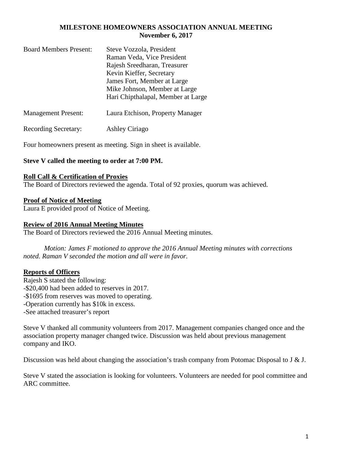### **MILESTONE HOMEOWNERS ASSOCIATION ANNUAL MEETING November 6, 2017**

| <b>Board Members Present:</b> | Steve Vozzola, President           |
|-------------------------------|------------------------------------|
|                               | Raman Veda, Vice President         |
|                               | Rajesh Sreedharan, Treasurer       |
|                               | Kevin Kieffer, Secretary           |
|                               | James Fort, Member at Large        |
|                               | Mike Johnson, Member at Large      |
|                               | Hari Chipthalapal, Member at Large |
| <b>Management Present:</b>    | Laura Etchison, Property Manager   |
|                               |                                    |

Recording Secretary: Ashley Ciriago

Four homeowners present as meeting. Sign in sheet is available.

## **Steve V called the meeting to order at 7:00 PM.**

### **Roll Call & Certification of Proxies**

The Board of Directors reviewed the agenda. Total of 92 proxies, quorum was achieved.

### **Proof of Notice of Meeting**

Laura E provided proof of Notice of Meeting.

#### **Review of 2016 Annual Meeting Minutes**

The Board of Directors reviewed the 2016 Annual Meeting minutes.

*Motion: James F motioned to approve the 2016 Annual Meeting minutes with corrections noted. Raman V seconded the motion and all were in favor.* 

## **Reports of Officers**

Rajesh S stated the following: -\$20,400 had been added to reserves in 2017. -\$1695 from reserves was moved to operating. -Operation currently has \$10k in excess. -See attached treasurer's report

Steve V thanked all community volunteers from 2017. Management companies changed once and the association property manager changed twice. Discussion was held about previous management company and IKO.

Discussion was held about changing the association's trash company from Potomac Disposal to J & J.

Steve V stated the association is looking for volunteers. Volunteers are needed for pool committee and ARC committee.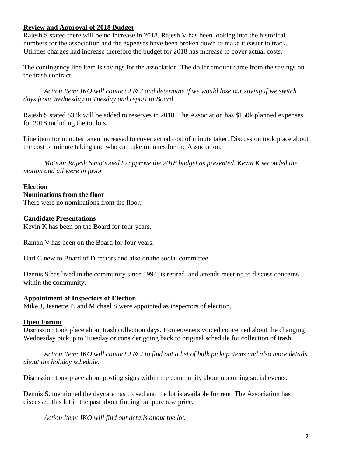## **Review and Approval of 2018 Budget**

Rajesh S stated there will be no increase in 2018. Rajesh V has been looking into the historical numbers for the association and the expenses have been broken down to make it easier to track. Utilities charges had increase therefore the budget for 2018 has increase to cover actual costs.

The contingency line item is savings for the association. The dollar amount came from the savings on the trash contract.

*Action Item: IKO will contact J & J and determine if we would lose our saving if we switch days from Wednesday to Tuesday and report to Board.* 

Rajesh S stated \$32k will be added to reserves in 2018. The Association has \$150k planned expenses for 2018 including the tot lots.

Line item for minutes taken increased to cover actual cost of minute taker. Discussion took place about the cost of minute taking and who can take minutes for the Association.

*Motion: Rajesh S motioned to approve the 2018 budget as presented. Kevin K seconded the motion and all were in favor.* 

## **Election**

### **Nominations from the floor**

There were no nominations from the floor.

## **Candidate Presentations**

Kevin K has been on the Board for four years.

Raman V has been on the Board for four years.

Hari C new to Board of Directors and also on the social committee.

Dennis S has lived in the community since 1994, is retired, and attends meeting to discuss concerns within the community.

## **Appointment of Inspectors of Election**

Mike J, Jeanette P, and Michael S were appointed as inspectors of election.

## **Open Forum**

Discussion took place about trash collection days. Homeowners voiced concerned about the changing Wednesday pickup to Tuesday or consider going back to original schedule for collection of trash.

*Action Item: IKO will contact J & J to find out a list of bulk pickup items and also more details about the holiday schedule.* 

Discussion took place about posting signs within the community about upcoming social events.

Dennis S. mentioned the daycare has closed and the lot is available for rent. The Association has discussed this lot in the past about finding out purchase price.

*Action Item: IKO will find out details about the lot.*